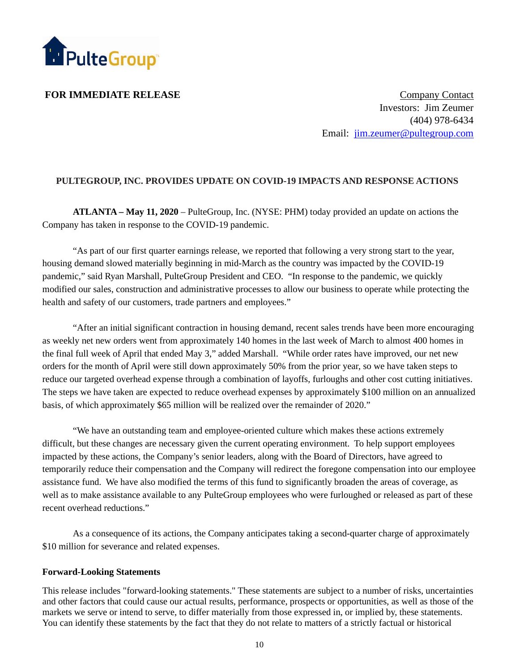

**FOR IMMEDIATE RELEASE** Company Contact Investors: Jim Zeumer (404) 978-6434 Email: jim.zeumer@pultegroup.com

## **PULTEGROUP, INC. PROVIDES UPDATE ON COVID-19 IMPACTS AND RESPONSE ACTIONS**

**ATLANTA – May 11, 2020** – PulteGroup, Inc. (NYSE: PHM) today provided an update on actions the Company has taken in response to the COVID-19 pandemic.

"As part of our first quarter earnings release, we reported that following a very strong start to the year, housing demand slowed materially beginning in mid-March as the country was impacted by the COVID-19 pandemic," said Ryan Marshall, PulteGroup President and CEO. "In response to the pandemic, we quickly modified our sales, construction and administrative processes to allow our business to operate while protecting the health and safety of our customers, trade partners and employees."

"After an initial significant contraction in housing demand, recent sales trends have been more encouraging as weekly net new orders went from approximately 140 homes in the last week of March to almost 400 homes in the final full week of April that ended May 3," added Marshall. "While order rates have improved, our net new orders for the month of April were still down approximately 50% from the prior year, so we have taken steps to reduce our targeted overhead expense through a combination of layoffs, furloughs and other cost cutting initiatives. The steps we have taken are expected to reduce overhead expenses by approximately \$100 million on an annualized basis, of which approximately \$65 million will be realized over the remainder of 2020."

"We have an outstanding team and employee-oriented culture which makes these actions extremely difficult, but these changes are necessary given the current operating environment. To help support employees impacted by these actions, the Company's senior leaders, along with the Board of Directors, have agreed to temporarily reduce their compensation and the Company will redirect the foregone compensation into our employee assistance fund. We have also modified the terms of this fund to significantly broaden the areas of coverage, as well as to make assistance available to any PulteGroup employees who were furloughed or released as part of these recent overhead reductions."

As a consequence of its actions, the Company anticipates taking a second-quarter charge of approximately \$10 million for severance and related expenses.

## **Forward-Looking Statements**

This release includes "forward-looking statements." These statements are subject to a number of risks, uncertainties and other factors that could cause our actual results, performance, prospects or opportunities, as well as those of the markets we serve or intend to serve, to differ materially from those expressed in, or implied by, these statements. You can identify these statements by the fact that they do not relate to matters of a strictly factual or historical